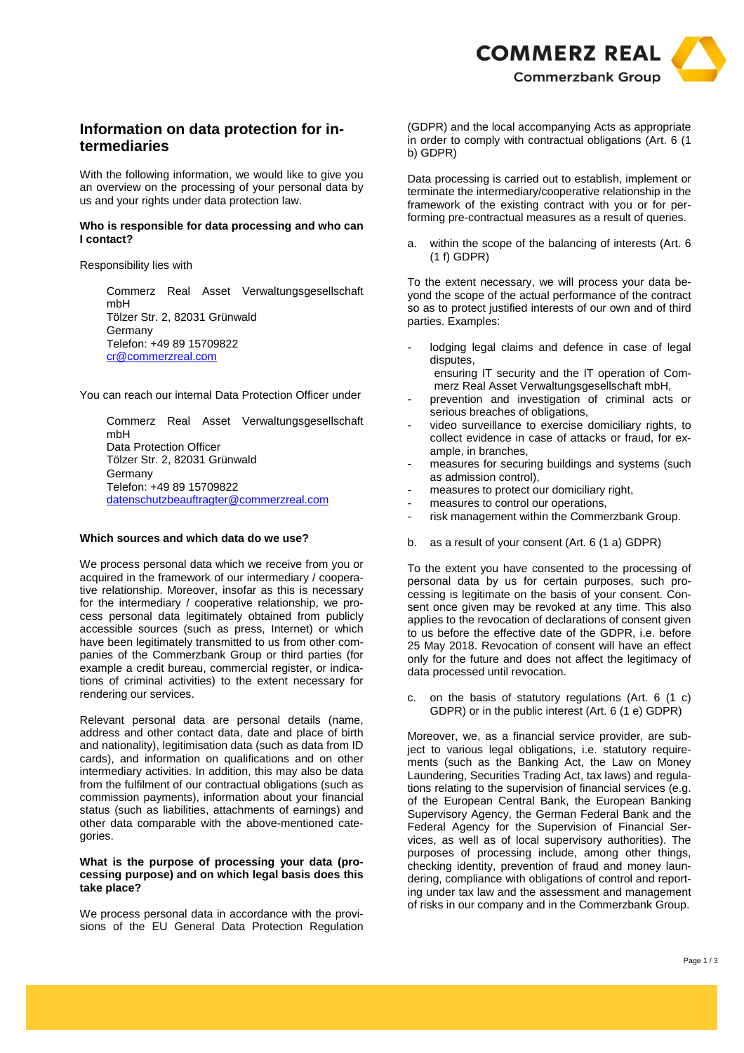

# **Information on data protection for intermediaries**

With the following information, we would like to give you an overview on the processing of your personal data by us and your rights under data protection law.

## **Who is responsible for data processing and who can I contact?**

Responsibility lies with

Commerz Real Asset Verwaltungsgesellschaft mbH Tölzer Str. 2, 82031 Grünwald Germany Telefon: +49 89 15709822 cr@commerzreal.com

You can reach our internal Data Protection Officer under

Commerz Real Asset Verwaltungsgesellschaft mbH Data Protection Officer Tölzer Str. 2, 82031 Grünwald Germany Telefon: +49 89 15709822 datenschutzbeauftragter@commerzreal.com

# **Which sources and which data do we use?**

We process personal data which we receive from you or acquired in the framework of our intermediary / cooperative relationship. Moreover, insofar as this is necessary for the intermediary / cooperative relationship, we process personal data legitimately obtained from publicly accessible sources (such as press, Internet) or which have been legitimately transmitted to us from other companies of the Commerzbank Group or third parties (for example a credit bureau, commercial register, or indications of criminal activities) to the extent necessary for rendering our services.

Relevant personal data are personal details (name, address and other contact data, date and place of birth and nationality), legitimisation data (such as data from ID cards), and information on qualifications and on other intermediary activities. In addition, this may also be data from the fulfilment of our contractual obligations (such as commission payments), information about your financial status (such as liabilities, attachments of earnings) and other data comparable with the above-mentioned categories.

## **What is the purpose of processing your data (processing purpose) and on which legal basis does this take place?**

We process personal data in accordance with the provisions of the EU General Data Protection Regulation (GDPR) and the local accompanying Acts as appropriate in order to comply with contractual obligations (Art. 6 (1 b) GDPR)

Data processing is carried out to establish, implement or terminate the intermediary/cooperative relationship in the framework of the existing contract with you or for performing pre-contractual measures as a result of queries.

a. within the scope of the balancing of interests (Art. 6 (1 f) GDPR)

To the extent necessary, we will process your data beyond the scope of the actual performance of the contract so as to protect justified interests of our own and of third parties. Examples:

- lodging legal claims and defence in case of legal disputes, ensuring IT security and the IT operation of Com
	- merz Real Asset Verwaltungsgesellschaft mbH,
- prevention and investigation of criminal acts or serious breaches of obligations,
- video surveillance to exercise domiciliary rights, to collect evidence in case of attacks or fraud, for example, in branches,
- measures for securing buildings and systems (such as admission control),
- measures to protect our domiciliary right,
- measures to control our operations,
- risk management within the Commerzbank Group.
- b. as a result of your consent (Art. 6 (1 a) GDPR)

To the extent you have consented to the processing of personal data by us for certain purposes, such processing is legitimate on the basis of your consent. Consent once given may be revoked at any time. This also applies to the revocation of declarations of consent given to us before the effective date of the GDPR, i.e. before 25 May 2018. Revocation of consent will have an effect only for the future and does not affect the legitimacy of data processed until revocation.

c. on the basis of statutory regulations (Art. 6 (1 c) GDPR) or in the public interest (Art. 6 (1 e) GDPR)

Moreover, we, as a financial service provider, are subject to various legal obligations, i.e. statutory requirements (such as the Banking Act, the Law on Money Laundering, Securities Trading Act, tax laws) and regulations relating to the supervision of financial services (e.g. of the European Central Bank, the European Banking Supervisory Agency, the German Federal Bank and the Federal Agency for the Supervision of Financial Services, as well as of local supervisory authorities). The purposes of processing include, among other things, checking identity, prevention of fraud and money laundering, compliance with obligations of control and reporting under tax law and the assessment and management of risks in our company and in the Commerzbank Group.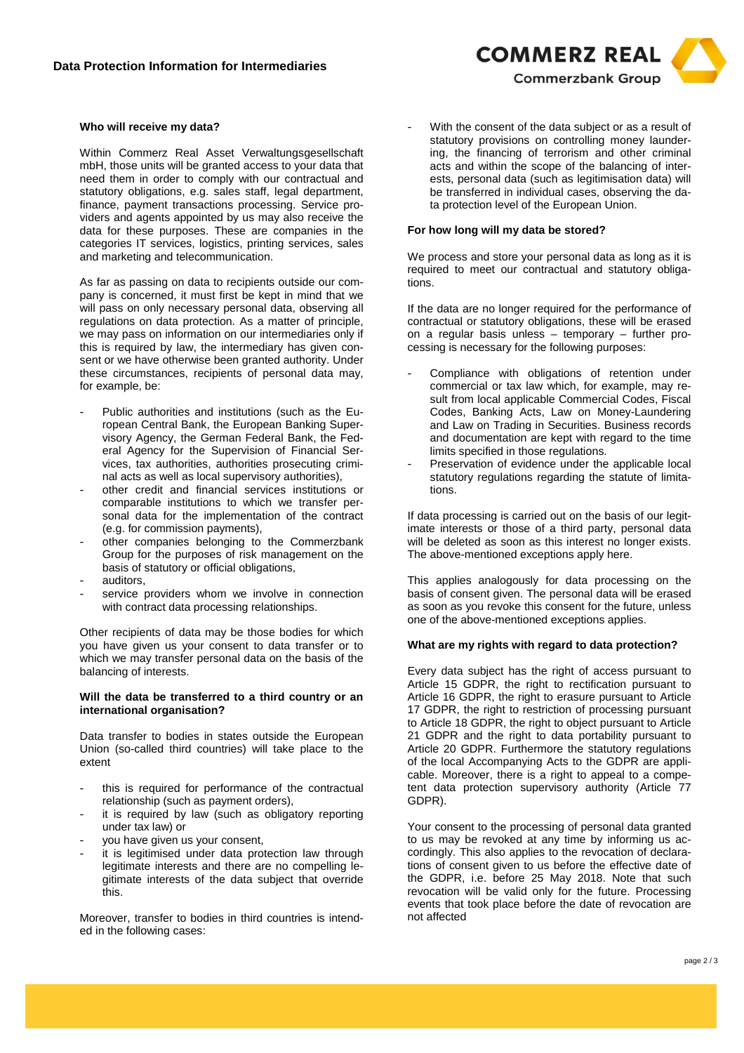### **Who will receive my data?**

Within Commerz Real Asset Verwaltungsgesellschaft mbH, those units will be granted access to your data that need them in order to comply with our contractual and statutory obligations, e.g. sales staff, legal department, finance, payment transactions processing. Service providers and agents appointed by us may also receive the data for these purposes. These are companies in the categories IT services, logistics, printing services, sales and marketing and telecommunication.

As far as passing on data to recipients outside our company is concerned, it must first be kept in mind that we will pass on only necessary personal data, observing all regulations on data protection. As a matter of principle, we may pass on information on our intermediaries only if this is required by law, the intermediary has given consent or we have otherwise been granted authority. Under these circumstances, recipients of personal data may, for example, be:

- Public authorities and institutions (such as the European Central Bank, the European Banking Supervisory Agency, the German Federal Bank, the Federal Agency for the Supervision of Financial Services, tax authorities, authorities prosecuting criminal acts as well as local supervisory authorities),
- other credit and financial services institutions or comparable institutions to which we transfer personal data for the implementation of the contract (e.g. for commission payments),
- other companies belonging to the Commerzbank Group for the purposes of risk management on the basis of statutory or official obligations,
- auditors,
- service providers whom we involve in connection with contract data processing relationships.

Other recipients of data may be those bodies for which you have given us your consent to data transfer or to which we may transfer personal data on the basis of the balancing of interests.

#### **Will the data be transferred to a third country or an international organisation?**

Data transfer to bodies in states outside the European Union (so-called third countries) will take place to the extent

- this is required for performance of the contractual relationship (such as payment orders),
- it is required by law (such as obligatory reporting under tax law) or
- you have given us your consent,
- it is legitimised under data protection law through legitimate interests and there are no compelling legitimate interests of the data subject that override this.

Moreover, transfer to bodies in third countries is intended in the following cases:

With the consent of the data subject or as a result of statutory provisions on controlling money laundering, the financing of terrorism and other criminal acts and within the scope of the balancing of interests, personal data (such as legitimisation data) will be transferred in individual cases, observing the data protection level of the European Union.

**COMMERZ REAL** 

**Commerzbank Group** 

#### **For how long will my data be stored?**

We process and store your personal data as long as it is required to meet our contractual and statutory obligations.

If the data are no longer required for the performance of contractual or statutory obligations, these will be erased on a regular basis unless – temporary – further processing is necessary for the following purposes:

- Compliance with obligations of retention under commercial or tax law which, for example, may result from local applicable Commercial Codes, Fiscal Codes, Banking Acts, Law on Money-Laundering and Law on Trading in Securities. Business records and documentation are kept with regard to the time limits specified in those regulations.
- Preservation of evidence under the applicable local statutory regulations regarding the statute of limitations.

If data processing is carried out on the basis of our legitimate interests or those of a third party, personal data will be deleted as soon as this interest no longer exists. The above-mentioned exceptions apply here.

This applies analogously for data processing on the basis of consent given. The personal data will be erased as soon as you revoke this consent for the future, unless one of the above-mentioned exceptions applies.

#### **What are my rights with regard to data protection?**

Every data subject has the right of access pursuant to Article 15 GDPR, the right to rectification pursuant to Article 16 GDPR, the right to erasure pursuant to Article 17 GDPR, the right to restriction of processing pursuant to Article 18 GDPR, the right to object pursuant to Article 21 GDPR and the right to data portability pursuant to Article 20 GDPR. Furthermore the statutory regulations of the local Accompanying Acts to the GDPR are applicable. Moreover, there is a right to appeal to a competent data protection supervisory authority (Article 77 GDPR).

Your consent to the processing of personal data granted to us may be revoked at any time by informing us accordingly. This also applies to the revocation of declarations of consent given to us before the effective date of the GDPR, i.e. before 25 May 2018. Note that such revocation will be valid only for the future. Processing events that took place before the date of revocation are not affected